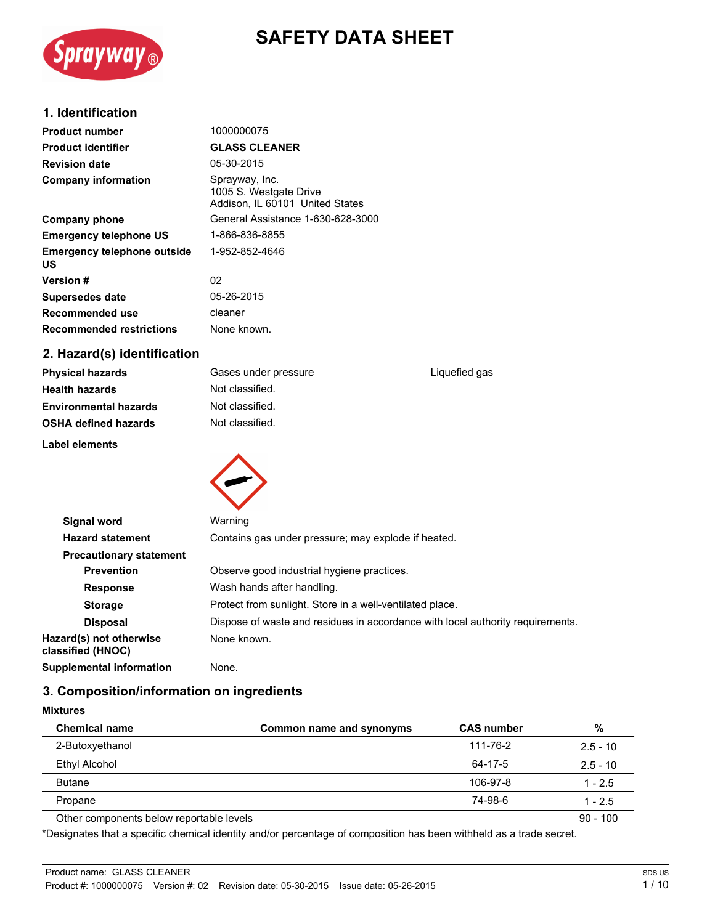# $S$ prayway $_{\tiny{\textcircled{\tiny{R}}}}$

## **SAFETY DATA SHEET**

## **1. Identification**

| <b>Product number</b>                    | 1000000075                                                                  |
|------------------------------------------|-----------------------------------------------------------------------------|
| <b>Product identifier</b>                | <b>GLASS CLEANER</b>                                                        |
| <b>Revision date</b>                     | 05-30-2015                                                                  |
| <b>Company information</b>               | Sprayway, Inc.<br>1005 S. Westgate Drive<br>Addison, IL 60101 United States |
| Company phone                            | General Assistance 1-630-628-3000                                           |
| <b>Emergency telephone US</b>            | 1-866-836-8855                                                              |
| <b>Emergency telephone outside</b><br>US | 1-952-852-4646                                                              |
| <b>Version #</b>                         | 02                                                                          |
| Supersedes date                          | 05-26-2015                                                                  |
| Recommended use                          | cleaner                                                                     |
| <b>Recommended restrictions</b>          | None known.                                                                 |
|                                          |                                                                             |

## **2. Hazard(s) identification**

| <b>Physical hazards</b>      | Gases under pressure | Liquefied gas |
|------------------------------|----------------------|---------------|
| <b>Health hazards</b>        | Not classified.      |               |
| <b>Environmental hazards</b> | Not classified.      |               |
| <b>OSHA defined hazards</b>  | Not classified.      |               |
|                              |                      |               |

**Label elements**



| Signal word                                  | Warning                                                                        |  |  |
|----------------------------------------------|--------------------------------------------------------------------------------|--|--|
| <b>Hazard statement</b>                      | Contains gas under pressure; may explode if heated.                            |  |  |
| <b>Precautionary statement</b>               |                                                                                |  |  |
| <b>Prevention</b>                            | Observe good industrial hygiene practices.                                     |  |  |
| <b>Response</b>                              | Wash hands after handling.                                                     |  |  |
| <b>Storage</b>                               | Protect from sunlight. Store in a well-ventilated place.                       |  |  |
| <b>Disposal</b>                              | Dispose of waste and residues in accordance with local authority requirements. |  |  |
| Hazard(s) not otherwise<br>classified (HNOC) | None known.                                                                    |  |  |
| Supplemental information                     | None.                                                                          |  |  |

## **3. Composition/information on ingredients**

#### **Mixtures**

| <b>Chemical name</b>                     | Common name and synonyms | <b>CAS number</b> | %          |
|------------------------------------------|--------------------------|-------------------|------------|
| 2-Butoxyethanol                          |                          | 111-76-2          | $2.5 - 10$ |
| <b>Ethyl Alcohol</b>                     |                          | 64-17-5           | $2.5 - 10$ |
| <b>Butane</b>                            |                          | 106-97-8          | $1 - 2.5$  |
| Propane                                  |                          | 74-98-6           | $1 - 2.5$  |
| Other components below reportable levels |                          |                   | $90 - 100$ |

\*Designates that a specific chemical identity and/or percentage of composition has been withheld as a trade secret.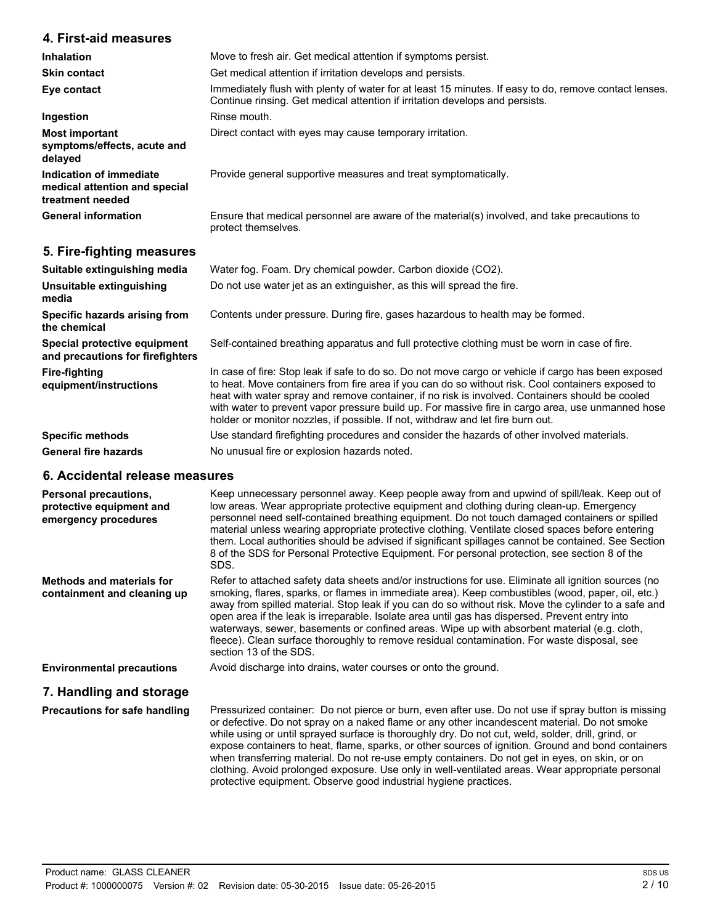## **4. First-aid measures**

| Inhalation                                                                   | Move to fresh air. Get medical attention if symptoms persist.                                                                                                                         |
|------------------------------------------------------------------------------|---------------------------------------------------------------------------------------------------------------------------------------------------------------------------------------|
| <b>Skin contact</b>                                                          | Get medical attention if irritation develops and persists.                                                                                                                            |
| Eye contact                                                                  | Immediately flush with plenty of water for at least 15 minutes. If easy to do, remove contact lenses.<br>Continue rinsing. Get medical attention if irritation develops and persists. |
| Ingestion                                                                    | Rinse mouth.                                                                                                                                                                          |
| <b>Most important</b><br>symptoms/effects, acute and<br>delayed              | Direct contact with eyes may cause temporary irritation.                                                                                                                              |
| Indication of immediate<br>medical attention and special<br>treatment needed | Provide general supportive measures and treat symptomatically.                                                                                                                        |
| <b>General information</b>                                                   | Ensure that medical personnel are aware of the material(s) involved, and take precautions to<br>protect themselves.                                                                   |

## **5. Fire-fighting measures**

| Suitable extinguishing media                                     | Water fog. Foam. Dry chemical powder. Carbon dioxide (CO2).                                                                                                                                                                                                                                                                                                                                                                                                                                        |
|------------------------------------------------------------------|----------------------------------------------------------------------------------------------------------------------------------------------------------------------------------------------------------------------------------------------------------------------------------------------------------------------------------------------------------------------------------------------------------------------------------------------------------------------------------------------------|
| Unsuitable extinguishing<br>media                                | Do not use water jet as an extinguisher, as this will spread the fire.                                                                                                                                                                                                                                                                                                                                                                                                                             |
| Specific hazards arising from<br>the chemical                    | Contents under pressure. During fire, gases hazardous to health may be formed.                                                                                                                                                                                                                                                                                                                                                                                                                     |
| Special protective equipment<br>and precautions for firefighters | Self-contained breathing apparatus and full protective clothing must be worn in case of fire.                                                                                                                                                                                                                                                                                                                                                                                                      |
| Fire-fighting<br>equipment/instructions                          | In case of fire: Stop leak if safe to do so. Do not move cargo or vehicle if cargo has been exposed<br>to heat. Move containers from fire area if you can do so without risk. Cool containers exposed to<br>heat with water spray and remove container, if no risk is involved. Containers should be cooled<br>with water to prevent vapor pressure build up. For massive fire in cargo area, use unmanned hose<br>holder or monitor nozzles, if possible. If not, withdraw and let fire burn out. |
| <b>Specific methods</b>                                          | Use standard firefighting procedures and consider the hazards of other involved materials.                                                                                                                                                                                                                                                                                                                                                                                                         |
| <b>General fire hazards</b>                                      | No unusual fire or explosion hazards noted.                                                                                                                                                                                                                                                                                                                                                                                                                                                        |

#### **6. Accidental release measures**

| <b>Personal precautions,</b><br>protective equipment and<br>emergency procedures | Keep unnecessary personnel away. Keep people away from and upwind of spill/leak. Keep out of<br>low areas. Wear appropriate protective equipment and clothing during clean-up. Emergency<br>personnel need self-contained breathing equipment. Do not touch damaged containers or spilled<br>material unless wearing appropriate protective clothing. Ventilate closed spaces before entering<br>them. Local authorities should be advised if significant spillages cannot be contained. See Section<br>8 of the SDS for Personal Protective Equipment. For personal protection, see section 8 of the<br>SDS.                               |
|----------------------------------------------------------------------------------|---------------------------------------------------------------------------------------------------------------------------------------------------------------------------------------------------------------------------------------------------------------------------------------------------------------------------------------------------------------------------------------------------------------------------------------------------------------------------------------------------------------------------------------------------------------------------------------------------------------------------------------------|
| <b>Methods and materials for</b><br>containment and cleaning up                  | Refer to attached safety data sheets and/or instructions for use. Eliminate all ignition sources (no<br>smoking, flares, sparks, or flames in immediate area). Keep combustibles (wood, paper, oil, etc.)<br>away from spilled material. Stop leak if you can do so without risk. Move the cylinder to a safe and<br>open area if the leak is irreparable. Isolate area until gas has dispersed. Prevent entry into<br>waterways, sewer, basements or confined areas. Wipe up with absorbent material (e.g. cloth,<br>fleece). Clean surface thoroughly to remove residual contamination. For waste disposal, see<br>section 13 of the SDS. |
| <b>Environmental precautions</b>                                                 | Avoid discharge into drains, water courses or onto the ground.                                                                                                                                                                                                                                                                                                                                                                                                                                                                                                                                                                              |
| 7. Handling and storage                                                          |                                                                                                                                                                                                                                                                                                                                                                                                                                                                                                                                                                                                                                             |
| Precautions for safe handling                                                    | Pressurized container: Do not pierce or burn, even after use. Do not use if spray button is missing<br>or defective. Do not spray on a naked flame or any other incandescent material. Do not smoke<br>while using or until sprayed surface is thoroughly dry. Do not cut, weld, solder, drill, grind, or<br>expose containers to heat, flame, sparks, or other sources of ignition. Ground and bond containers<br>when transferring material. Do not re-use empty containers. Do not get in eyes, on skin, or on<br>clothing. Avoid prolonged exposure. Use only in well-ventilated areas. Wear appropriate personal                       |

protective equipment. Observe good industrial hygiene practices.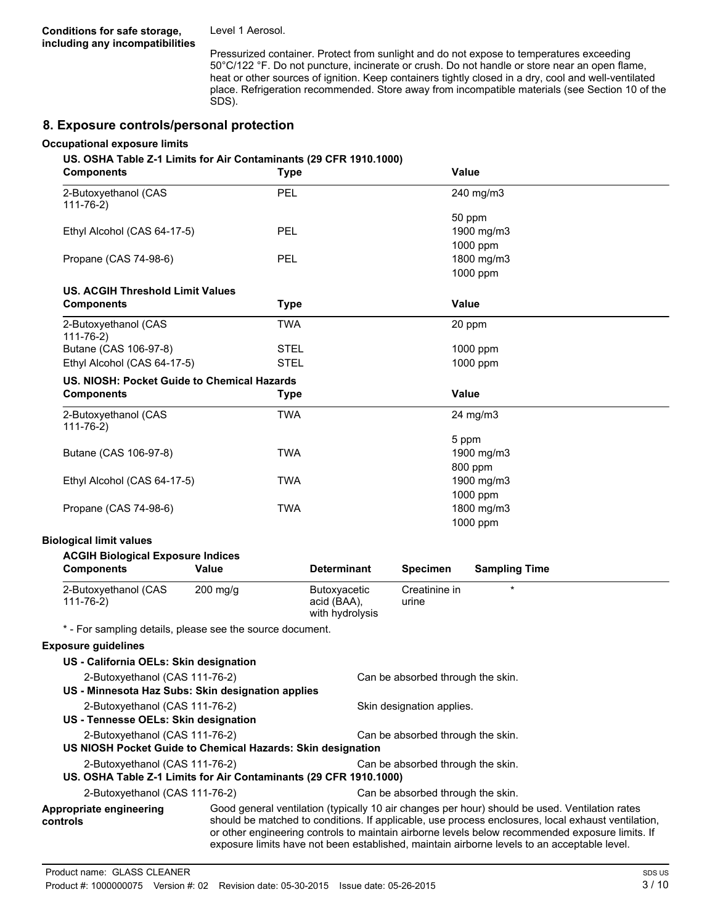Level 1 Aerosol.

Pressurized container. Protect from sunlight and do not expose to temperatures exceeding 50°C/122 °F. Do not puncture, incinerate or crush. Do not handle or store near an open flame, heat or other sources of ignition. Keep containers tightly closed in a dry, cool and well-ventilated place. Refrigeration recommended. Store away from incompatible materials (see Section 10 of the SDS).

#### **8. Exposure controls/personal protection**

#### **Occupational exposure limits**

#### **US. OSHA Table Z-1 Limits for Air Contaminants (29 CFR 1910.1000)**

| <b>Components</b>                                                                                   | <b>Type</b> |                                                |                                   | Value                                                                                                                                                                                                                                                                                                                                                                                                  |
|-----------------------------------------------------------------------------------------------------|-------------|------------------------------------------------|-----------------------------------|--------------------------------------------------------------------------------------------------------------------------------------------------------------------------------------------------------------------------------------------------------------------------------------------------------------------------------------------------------------------------------------------------------|
| 2-Butoxyethanol (CAS<br>$111 - 76 - 2$                                                              | PEL         |                                                |                                   | 240 mg/m3                                                                                                                                                                                                                                                                                                                                                                                              |
|                                                                                                     |             |                                                |                                   | 50 ppm                                                                                                                                                                                                                                                                                                                                                                                                 |
| Ethyl Alcohol (CAS 64-17-5)                                                                         | <b>PEL</b>  |                                                |                                   | 1900 mg/m3                                                                                                                                                                                                                                                                                                                                                                                             |
|                                                                                                     |             |                                                |                                   | 1000 ppm                                                                                                                                                                                                                                                                                                                                                                                               |
| Propane (CAS 74-98-6)                                                                               | PEL         |                                                |                                   | 1800 mg/m3                                                                                                                                                                                                                                                                                                                                                                                             |
|                                                                                                     |             |                                                |                                   | 1000 ppm                                                                                                                                                                                                                                                                                                                                                                                               |
| <b>US. ACGIH Threshold Limit Values</b>                                                             |             |                                                |                                   |                                                                                                                                                                                                                                                                                                                                                                                                        |
| <b>Components</b>                                                                                   | <b>Type</b> |                                                |                                   | <b>Value</b>                                                                                                                                                                                                                                                                                                                                                                                           |
| 2-Butoxyethanol (CAS<br>$111 - 76 - 2)$                                                             | <b>TWA</b>  |                                                |                                   | 20 ppm                                                                                                                                                                                                                                                                                                                                                                                                 |
| Butane (CAS 106-97-8)                                                                               | <b>STEL</b> |                                                |                                   | 1000 ppm                                                                                                                                                                                                                                                                                                                                                                                               |
| Ethyl Alcohol (CAS 64-17-5)                                                                         | <b>STEL</b> |                                                |                                   | 1000 ppm                                                                                                                                                                                                                                                                                                                                                                                               |
| US. NIOSH: Pocket Guide to Chemical Hazards                                                         |             |                                                |                                   |                                                                                                                                                                                                                                                                                                                                                                                                        |
| <b>Components</b>                                                                                   | <b>Type</b> |                                                |                                   | <b>Value</b>                                                                                                                                                                                                                                                                                                                                                                                           |
| 2-Butoxyethanol (CAS<br>$111 - 76 - 2)$                                                             | <b>TWA</b>  |                                                |                                   | 24 mg/m3                                                                                                                                                                                                                                                                                                                                                                                               |
|                                                                                                     |             |                                                |                                   | 5 ppm                                                                                                                                                                                                                                                                                                                                                                                                  |
| Butane (CAS 106-97-8)                                                                               | <b>TWA</b>  |                                                |                                   | 1900 mg/m3                                                                                                                                                                                                                                                                                                                                                                                             |
|                                                                                                     |             |                                                |                                   | 800 ppm                                                                                                                                                                                                                                                                                                                                                                                                |
| Ethyl Alcohol (CAS 64-17-5)                                                                         | <b>TWA</b>  |                                                |                                   | 1900 mg/m3                                                                                                                                                                                                                                                                                                                                                                                             |
|                                                                                                     |             |                                                |                                   | 1000 ppm                                                                                                                                                                                                                                                                                                                                                                                               |
| Propane (CAS 74-98-6)                                                                               | <b>TWA</b>  |                                                |                                   | 1800 mg/m3                                                                                                                                                                                                                                                                                                                                                                                             |
|                                                                                                     |             |                                                |                                   | 1000 ppm                                                                                                                                                                                                                                                                                                                                                                                               |
| <b>Biological limit values</b>                                                                      |             |                                                |                                   |                                                                                                                                                                                                                                                                                                                                                                                                        |
| <b>ACGIH Biological Exposure Indices</b>                                                            |             |                                                |                                   |                                                                                                                                                                                                                                                                                                                                                                                                        |
| <b>Components</b>                                                                                   | Value       | <b>Determinant</b>                             | <b>Specimen</b>                   | <b>Sampling Time</b>                                                                                                                                                                                                                                                                                                                                                                                   |
|                                                                                                     |             |                                                | Creatinine in                     | $\star$                                                                                                                                                                                                                                                                                                                                                                                                |
| 2-Butoxyethanol (CAS<br>$111 - 76 - 2)$                                                             | $200$ mg/g  | Butoxyacetic<br>acid (BAA),<br>with hydrolysis | urine                             |                                                                                                                                                                                                                                                                                                                                                                                                        |
| * - For sampling details, please see the source document.                                           |             |                                                |                                   |                                                                                                                                                                                                                                                                                                                                                                                                        |
| <b>Exposure guidelines</b>                                                                          |             |                                                |                                   |                                                                                                                                                                                                                                                                                                                                                                                                        |
|                                                                                                     |             |                                                |                                   |                                                                                                                                                                                                                                                                                                                                                                                                        |
| US - California OELs: Skin designation                                                              |             |                                                |                                   |                                                                                                                                                                                                                                                                                                                                                                                                        |
| 2-Butoxyethanol (CAS 111-76-2)<br>US - Minnesota Haz Subs: Skin designation applies                 |             |                                                | Can be absorbed through the skin. |                                                                                                                                                                                                                                                                                                                                                                                                        |
| 2-Butoxyethanol (CAS 111-76-2)<br>US - Tennesse OELs: Skin designation                              |             |                                                | Skin designation applies.         |                                                                                                                                                                                                                                                                                                                                                                                                        |
| 2-Butoxyethanol (CAS 111-76-2)                                                                      |             |                                                | Can be absorbed through the skin. |                                                                                                                                                                                                                                                                                                                                                                                                        |
| US NIOSH Pocket Guide to Chemical Hazards: Skin designation                                         |             |                                                |                                   |                                                                                                                                                                                                                                                                                                                                                                                                        |
| 2-Butoxyethanol (CAS 111-76-2)<br>US. OSHA Table Z-1 Limits for Air Contaminants (29 CFR 1910.1000) |             |                                                | Can be absorbed through the skin. |                                                                                                                                                                                                                                                                                                                                                                                                        |
| 2-Butoxyethanol (CAS 111-76-2)                                                                      |             |                                                | Can be absorbed through the skin. |                                                                                                                                                                                                                                                                                                                                                                                                        |
| Appropriate engineering<br>controls                                                                 |             |                                                |                                   | Good general ventilation (typically 10 air changes per hour) should be used. Ventilation rates<br>should be matched to conditions. If applicable, use process enclosures, local exhaust ventilation,<br>or other engineering controls to maintain airborne levels below recommended exposure limits. If<br>exposure limits have not been established, maintain airborne levels to an acceptable level. |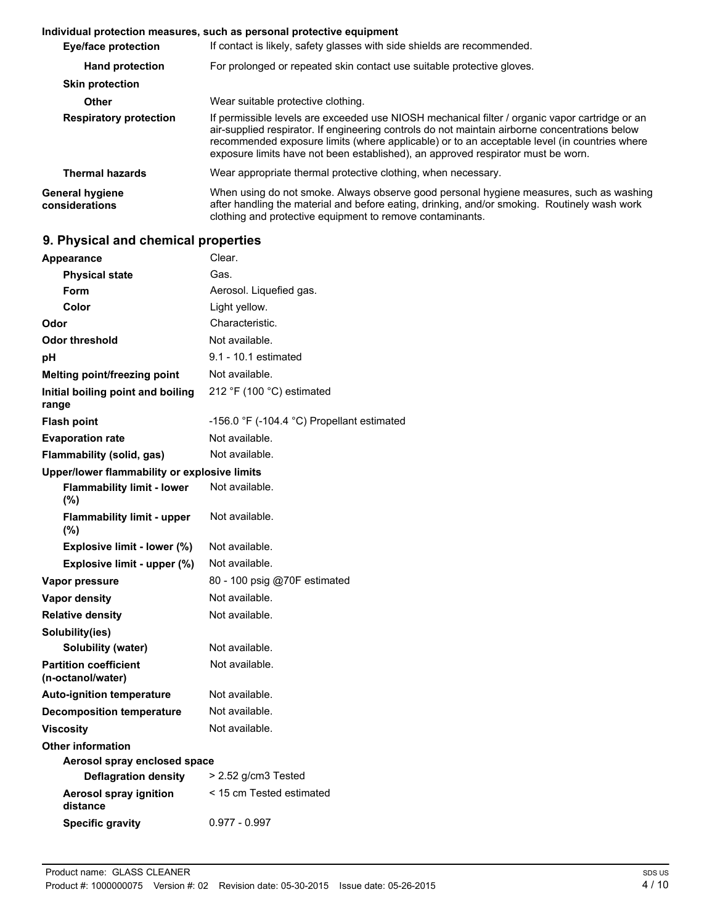#### **Individual protection measures, such as personal protective equipment**

| <b>Eye/face protection</b>        | If contact is likely, safety glasses with side shields are recommended.                                                                                                                                                                                                                                                                                                              |  |
|-----------------------------------|--------------------------------------------------------------------------------------------------------------------------------------------------------------------------------------------------------------------------------------------------------------------------------------------------------------------------------------------------------------------------------------|--|
| <b>Hand protection</b>            | For prolonged or repeated skin contact use suitable protective gloves.                                                                                                                                                                                                                                                                                                               |  |
| <b>Skin protection</b>            |                                                                                                                                                                                                                                                                                                                                                                                      |  |
| Other                             | Wear suitable protective clothing.                                                                                                                                                                                                                                                                                                                                                   |  |
| <b>Respiratory protection</b>     | If permissible levels are exceeded use NIOSH mechanical filter / organic vapor cartridge or an<br>air-supplied respirator. If engineering controls do not maintain airborne concentrations below<br>recommended exposure limits (where applicable) or to an acceptable level (in countries where<br>exposure limits have not been established), an approved respirator must be worn. |  |
| <b>Thermal hazards</b>            | Wear appropriate thermal protective clothing, when necessary.                                                                                                                                                                                                                                                                                                                        |  |
| General hygiene<br>considerations | When using do not smoke. Always observe good personal hygiene measures, such as washing<br>after handling the material and before eating, drinking, and/or smoking. Routinely wash work<br>clothing and protective equipment to remove contaminants.                                                                                                                                 |  |

## **9. Physical and chemical properties**

| Clear.                                       |
|----------------------------------------------|
| Gas.                                         |
| Aerosol. Liquefied gas.                      |
| Light yellow.                                |
| Characteristic.                              |
| Not available.                               |
| 9.1 - 10.1 estimated                         |
| Not available.                               |
| 212 °F (100 °C) estimated                    |
| -156.0 °F (-104.4 °C) Propellant estimated   |
| Not available.                               |
| Not available.                               |
| Upper/lower flammability or explosive limits |
| Not available.                               |
| Not available.                               |
| Not available.                               |
| Not available.                               |
| 80 - 100 psig @70F estimated                 |
| Not available.                               |
| Not available.                               |
|                                              |
| Not available.                               |
| Not available.                               |
| Not available.                               |
| Not available.                               |
| Not available.                               |
|                                              |
| Aerosol spray enclosed space                 |
| > 2.52 g/cm3 Tested                          |
| < 15 cm Tested estimated                     |
|                                              |
|                                              |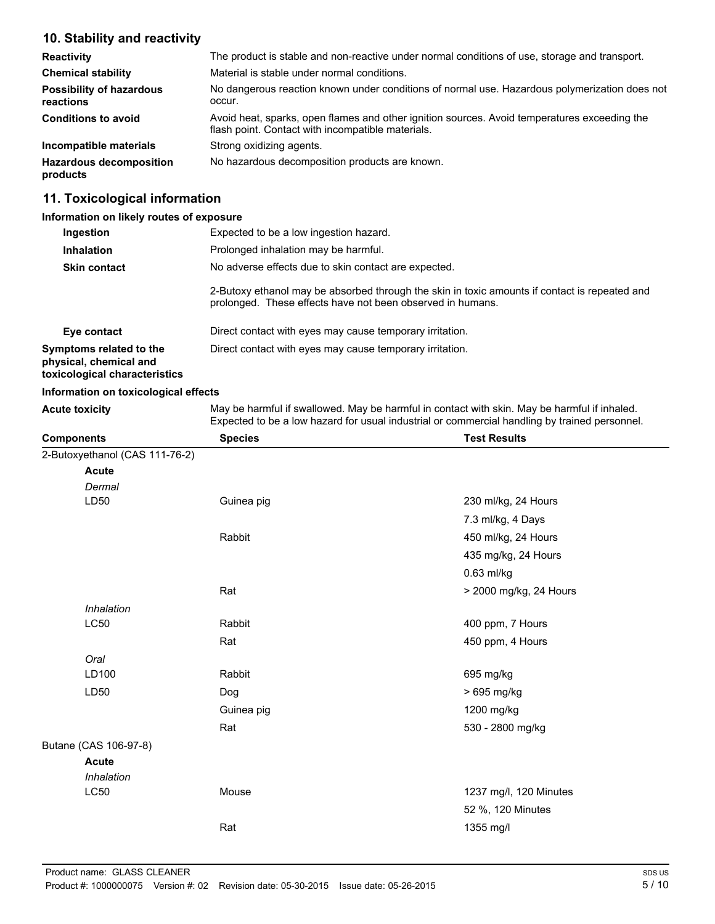## **10. Stability and reactivity**

| <b>Reactivity</b>                            | The product is stable and non-reactive under normal conditions of use, storage and transport.                                                     |
|----------------------------------------------|---------------------------------------------------------------------------------------------------------------------------------------------------|
| <b>Chemical stability</b>                    | Material is stable under normal conditions.                                                                                                       |
| <b>Possibility of hazardous</b><br>reactions | No dangerous reaction known under conditions of normal use. Hazardous polymerization does not<br>occur.                                           |
| <b>Conditions to avoid</b>                   | Avoid heat, sparks, open flames and other ignition sources. Avoid temperatures exceeding the<br>flash point. Contact with incompatible materials. |
| Incompatible materials                       | Strong oxidizing agents.                                                                                                                          |
| <b>Hazardous decomposition</b><br>products   | No hazardous decomposition products are known.                                                                                                    |

## **11. Toxicological information**

#### **Information on likely routes of exposure**

| Ingestion                                                                          | Expected to be a low ingestion hazard.                                                                                                                      |
|------------------------------------------------------------------------------------|-------------------------------------------------------------------------------------------------------------------------------------------------------------|
| <b>Inhalation</b>                                                                  | Prolonged inhalation may be harmful.                                                                                                                        |
| <b>Skin contact</b>                                                                | No adverse effects due to skin contact are expected.                                                                                                        |
|                                                                                    | 2-Butoxy ethanol may be absorbed through the skin in toxic amounts if contact is repeated and<br>prolonged. These effects have not been observed in humans. |
| Eye contact                                                                        | Direct contact with eyes may cause temporary irritation.                                                                                                    |
| Symptoms related to the<br>physical, chemical and<br>toxicological characteristics | Direct contact with eyes may cause temporary irritation.                                                                                                    |
| Information on toxicological effects                                               |                                                                                                                                                             |

**Acute toxicity** May be harmful if swallowed. May be harmful in contact with skin. May be harmful if inhaled. Expected to be a low hazard for usual industrial or commercial handling by trained personnel.

| <b>Components</b>              | <b>Species</b> | <b>Test Results</b>    |
|--------------------------------|----------------|------------------------|
| 2-Butoxyethanol (CAS 111-76-2) |                |                        |
| <b>Acute</b>                   |                |                        |
| Dermal                         |                |                        |
| LD50                           | Guinea pig     | 230 ml/kg, 24 Hours    |
|                                |                | 7.3 ml/kg, 4 Days      |
|                                | Rabbit         | 450 ml/kg, 24 Hours    |
|                                |                | 435 mg/kg, 24 Hours    |
|                                |                | 0.63 ml/kg             |
|                                | Rat            | > 2000 mg/kg, 24 Hours |
| Inhalation                     |                |                        |
| LC50                           | Rabbit         | 400 ppm, 7 Hours       |
|                                | Rat            | 450 ppm, 4 Hours       |
| Oral                           |                |                        |
| LD100                          | Rabbit         | 695 mg/kg              |
| LD50                           | Dog            | > 695 mg/kg            |
|                                | Guinea pig     | 1200 mg/kg             |
|                                | Rat            | 530 - 2800 mg/kg       |
| Butane (CAS 106-97-8)          |                |                        |
| <b>Acute</b>                   |                |                        |
| Inhalation                     |                |                        |
| <b>LC50</b>                    | Mouse          | 1237 mg/l, 120 Minutes |
|                                |                | 52 %, 120 Minutes      |
|                                | Rat            | 1355 mg/l              |
|                                |                |                        |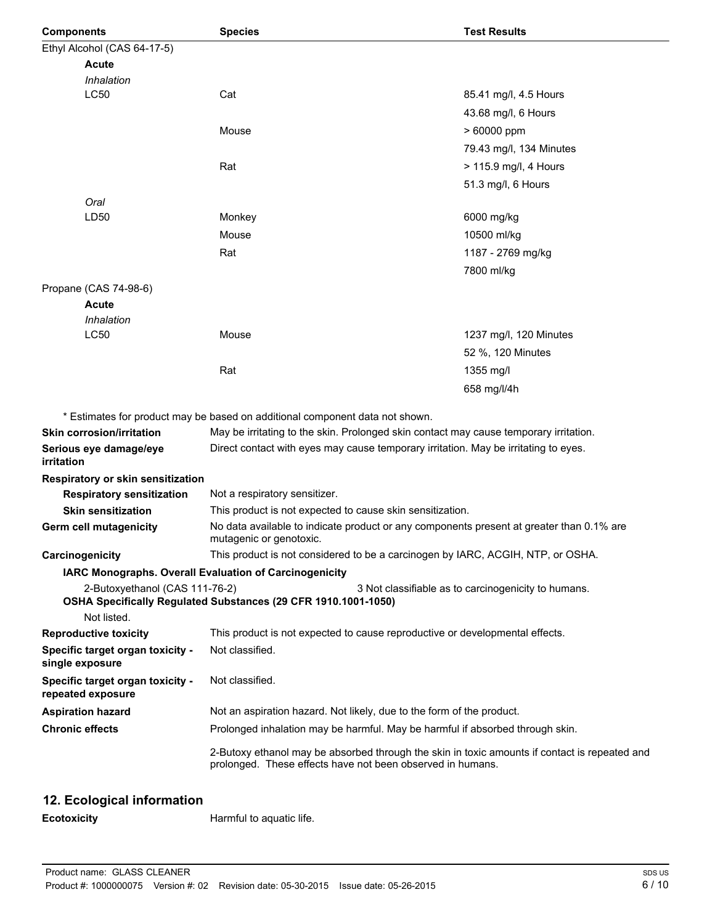| <b>Components</b>                                      | <b>Species</b>                                                                                                                                              | <b>Test Results</b>                                 |
|--------------------------------------------------------|-------------------------------------------------------------------------------------------------------------------------------------------------------------|-----------------------------------------------------|
| Ethyl Alcohol (CAS 64-17-5)                            |                                                                                                                                                             |                                                     |
| <b>Acute</b>                                           |                                                                                                                                                             |                                                     |
| Inhalation                                             |                                                                                                                                                             |                                                     |
| <b>LC50</b>                                            | Cat                                                                                                                                                         | 85.41 mg/l, 4.5 Hours                               |
|                                                        |                                                                                                                                                             | 43.68 mg/l, 6 Hours                                 |
|                                                        | Mouse                                                                                                                                                       | > 60000 ppm                                         |
|                                                        |                                                                                                                                                             | 79.43 mg/l, 134 Minutes                             |
|                                                        | Rat                                                                                                                                                         | > 115.9 mg/l, 4 Hours                               |
|                                                        |                                                                                                                                                             | 51.3 mg/l, 6 Hours                                  |
| Oral                                                   |                                                                                                                                                             |                                                     |
| LD50                                                   | Monkey                                                                                                                                                      | 6000 mg/kg                                          |
|                                                        | Mouse                                                                                                                                                       | 10500 ml/kg                                         |
|                                                        | Rat                                                                                                                                                         | 1187 - 2769 mg/kg                                   |
|                                                        |                                                                                                                                                             | 7800 ml/kg                                          |
| Propane (CAS 74-98-6)                                  |                                                                                                                                                             |                                                     |
| <b>Acute</b>                                           |                                                                                                                                                             |                                                     |
| Inhalation                                             |                                                                                                                                                             |                                                     |
| <b>LC50</b>                                            | Mouse                                                                                                                                                       | 1237 mg/l, 120 Minutes                              |
|                                                        |                                                                                                                                                             | 52 %, 120 Minutes                                   |
|                                                        | Rat                                                                                                                                                         | 1355 mg/l                                           |
|                                                        |                                                                                                                                                             | 658 mg/l/4h                                         |
|                                                        |                                                                                                                                                             |                                                     |
|                                                        | * Estimates for product may be based on additional component data not shown.                                                                                |                                                     |
| <b>Skin corrosion/irritation</b>                       | May be irritating to the skin. Prolonged skin contact may cause temporary irritation.                                                                       |                                                     |
| Serious eye damage/eye<br>irritation                   | Direct contact with eyes may cause temporary irritation. May be irritating to eyes.                                                                         |                                                     |
| Respiratory or skin sensitization                      |                                                                                                                                                             |                                                     |
| <b>Respiratory sensitization</b>                       | Not a respiratory sensitizer.                                                                                                                               |                                                     |
| <b>Skin sensitization</b>                              | This product is not expected to cause skin sensitization.                                                                                                   |                                                     |
| <b>Germ cell mutagenicity</b>                          | No data available to indicate product or any components present at greater than 0.1% are<br>mutagenic or genotoxic.                                         |                                                     |
| Carcinogenicity                                        | This product is not considered to be a carcinogen by IARC, ACGIH, NTP, or OSHA.                                                                             |                                                     |
| IARC Monographs. Overall Evaluation of Carcinogenicity |                                                                                                                                                             |                                                     |
| 2-Butoxyethanol (CAS 111-76-2)                         | OSHA Specifically Regulated Substances (29 CFR 1910.1001-1050)                                                                                              | 3 Not classifiable as to carcinogenicity to humans. |
| Not listed.                                            |                                                                                                                                                             |                                                     |
| <b>Reproductive toxicity</b>                           | This product is not expected to cause reproductive or developmental effects.                                                                                |                                                     |
| Specific target organ toxicity -<br>single exposure    | Not classified.                                                                                                                                             |                                                     |
| Specific target organ toxicity -<br>repeated exposure  | Not classified.                                                                                                                                             |                                                     |
| <b>Aspiration hazard</b>                               | Not an aspiration hazard. Not likely, due to the form of the product.                                                                                       |                                                     |
| <b>Chronic effects</b>                                 | Prolonged inhalation may be harmful. May be harmful if absorbed through skin.                                                                               |                                                     |
|                                                        | 2-Butoxy ethanol may be absorbed through the skin in toxic amounts if contact is repeated and<br>prolonged. These effects have not been observed in humans. |                                                     |

## **12. Ecological information**

**Ecotoxicity Harmful to aquatic life.**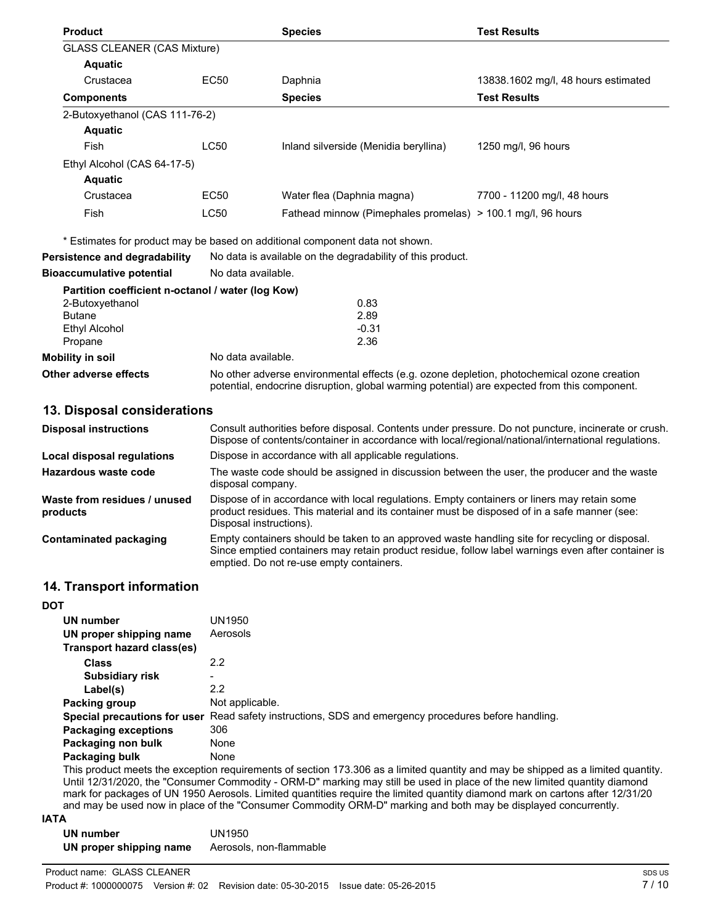| <b>Product</b>                                    |                                                                                                                                                                                            | <b>Species</b>                                                               | <b>Test Results</b>                 |
|---------------------------------------------------|--------------------------------------------------------------------------------------------------------------------------------------------------------------------------------------------|------------------------------------------------------------------------------|-------------------------------------|
| <b>GLASS CLEANER (CAS Mixture)</b>                |                                                                                                                                                                                            |                                                                              |                                     |
| <b>Aquatic</b>                                    |                                                                                                                                                                                            |                                                                              |                                     |
| Crustacea                                         | EC <sub>50</sub>                                                                                                                                                                           | Daphnia                                                                      | 13838.1602 mg/l, 48 hours estimated |
| <b>Components</b>                                 |                                                                                                                                                                                            | <b>Species</b>                                                               | <b>Test Results</b>                 |
| 2-Butoxyethanol (CAS 111-76-2)                    |                                                                                                                                                                                            |                                                                              |                                     |
| <b>Aquatic</b>                                    |                                                                                                                                                                                            |                                                                              |                                     |
| Fish                                              | <b>LC50</b>                                                                                                                                                                                | Inland silverside (Menidia beryllina)                                        | 1250 mg/l, 96 hours                 |
| Ethyl Alcohol (CAS 64-17-5)                       |                                                                                                                                                                                            |                                                                              |                                     |
| <b>Aquatic</b>                                    |                                                                                                                                                                                            |                                                                              |                                     |
| Crustacea                                         | <b>EC50</b>                                                                                                                                                                                | Water flea (Daphnia magna)                                                   | 7700 - 11200 mg/l, 48 hours         |
| Fish                                              | <b>LC50</b>                                                                                                                                                                                | Fathead minnow (Pimephales promelas) > 100.1 mg/l, 96 hours                  |                                     |
|                                                   |                                                                                                                                                                                            | * Estimates for product may be based on additional component data not shown. |                                     |
| Persistence and degradability                     |                                                                                                                                                                                            | No data is available on the degradability of this product.                   |                                     |
| <b>Bioaccumulative potential</b>                  | No data available.                                                                                                                                                                         |                                                                              |                                     |
| Partition coefficient n-octanol / water (log Kow) |                                                                                                                                                                                            |                                                                              |                                     |
| 2-Butoxyethanol                                   |                                                                                                                                                                                            | 0.83                                                                         |                                     |
| <b>Butane</b>                                     |                                                                                                                                                                                            | 2.89                                                                         |                                     |
| Ethyl Alcohol                                     |                                                                                                                                                                                            | $-0.31$                                                                      |                                     |
| Propane                                           |                                                                                                                                                                                            | 2.36                                                                         |                                     |
| <b>Mobility in soil</b>                           | No data available.                                                                                                                                                                         |                                                                              |                                     |
| Other adverse effects                             | No other adverse environmental effects (e.g. ozone depletion, photochemical ozone creation<br>potential, endocrine disruption, global warming potential) are expected from this component. |                                                                              |                                     |
| 49 Dispesal sepaidevations                        |                                                                                                                                                                                            |                                                                              |                                     |

## **13. Disposal considerations**

| <b>Disposal instructions</b>             | Consult authorities before disposal. Contents under pressure. Do not puncture, incinerate or crush.<br>Dispose of contents/container in accordance with local/regional/national/international regulations.                                       |  |
|------------------------------------------|--------------------------------------------------------------------------------------------------------------------------------------------------------------------------------------------------------------------------------------------------|--|
| Local disposal regulations               | Dispose in accordance with all applicable regulations.                                                                                                                                                                                           |  |
| Hazardous waste code                     | The waste code should be assigned in discussion between the user, the producer and the waste<br>disposal company.                                                                                                                                |  |
| Waste from residues / unused<br>products | Dispose of in accordance with local regulations. Empty containers or liners may retain some<br>product residues. This material and its container must be disposed of in a safe manner (see:<br>Disposal instructions).                           |  |
| Contaminated packaging                   | Empty containers should be taken to an approved waste handling site for recycling or disposal.<br>Since emptied containers may retain product residue, follow label warnings even after container is<br>emptied. Do not re-use empty containers. |  |

## **14. Transport information**

| <b>DOT</b>                  |                                                                                                      |
|-----------------------------|------------------------------------------------------------------------------------------------------|
| UN number                   | UN1950                                                                                               |
| UN proper shipping name     | Aerosols                                                                                             |
| Transport hazard class(es)  |                                                                                                      |
| <b>Class</b>                | 2.2                                                                                                  |
| <b>Subsidiary risk</b>      | -                                                                                                    |
| Label(s)                    | 2.2                                                                                                  |
| Packing group               | Not applicable.                                                                                      |
|                             | Special precautions for user Read safety instructions, SDS and emergency procedures before handling. |
| <b>Packaging exceptions</b> | 306                                                                                                  |
| Packaging non bulk          | None                                                                                                 |
| Packaging bulk              | None                                                                                                 |

This product meets the exception requirements of section 173.306 as a limited quantity and may be shipped as a limited quantity. Until 12/31/2020, the "Consumer Commodity - ORM-D" marking may still be used in place of the new limited quantity diamond mark for packages of UN 1950 Aerosols. Limited quantities require the limited quantity diamond mark on cartons after 12/31/20 and may be used now in place of the "Consumer Commodity ORM-D" marking and both may be displayed concurrently.

#### **IATA**

| UN number               | UN1950                  |
|-------------------------|-------------------------|
| UN proper shipping name | Aerosols, non-flammable |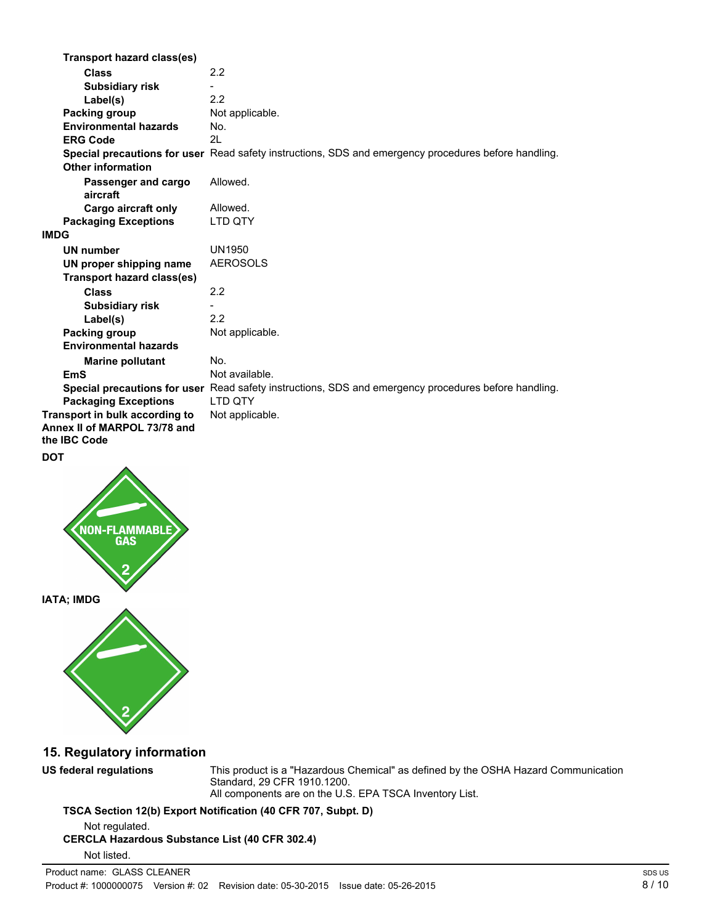| <b>Transport hazard class(es)</b>                                              |                                                                                                      |
|--------------------------------------------------------------------------------|------------------------------------------------------------------------------------------------------|
| <b>Class</b>                                                                   | 2.2                                                                                                  |
| <b>Subsidiary risk</b>                                                         |                                                                                                      |
| Label(s)                                                                       | 2.2                                                                                                  |
| Packing group                                                                  | Not applicable.                                                                                      |
| <b>Environmental hazards</b>                                                   | No.                                                                                                  |
| <b>ERG Code</b>                                                                | 2L                                                                                                   |
| <b>Other information</b>                                                       | Special precautions for user Read safety instructions, SDS and emergency procedures before handling. |
| Passenger and cargo<br>aircraft                                                | Allowed.                                                                                             |
| Cargo aircraft only                                                            | Allowed.                                                                                             |
| <b>Packaging Exceptions</b>                                                    | <b>LTD QTY</b>                                                                                       |
| <b>IMDG</b>                                                                    |                                                                                                      |
| UN number                                                                      | <b>UN1950</b>                                                                                        |
| UN proper shipping name                                                        | <b>AEROSOLS</b>                                                                                      |
| <b>Transport hazard class(es)</b>                                              |                                                                                                      |
| <b>Class</b>                                                                   | 2.2                                                                                                  |
| <b>Subsidiary risk</b>                                                         |                                                                                                      |
| Label(s)                                                                       | 2.2                                                                                                  |
| Packing group                                                                  | Not applicable.                                                                                      |
| <b>Environmental hazards</b>                                                   |                                                                                                      |
| <b>Marine pollutant</b>                                                        | No.                                                                                                  |
| <b>EmS</b>                                                                     | Not available.                                                                                       |
|                                                                                | Special precautions for user Read safety instructions, SDS and emergency procedures before handling. |
| <b>Packaging Exceptions</b>                                                    | <b>LTD OTY</b>                                                                                       |
| Transport in bulk according to<br>Annex II of MARPOL 73/78 and<br>the IBC Code | Not applicable.                                                                                      |







## **15. Regulatory information**

**US federal regulations** This product is a "Hazardous Chemical" as defined by the OSHA Hazard Communication Standard, 29 CFR 1910.1200. All components are on the U.S. EPA TSCA Inventory List.

**TSCA Section 12(b) Export Notification (40 CFR 707, Subpt. D)**

Not regulated.

## **CERCLA Hazardous Substance List (40 CFR 302.4)**

Not listed.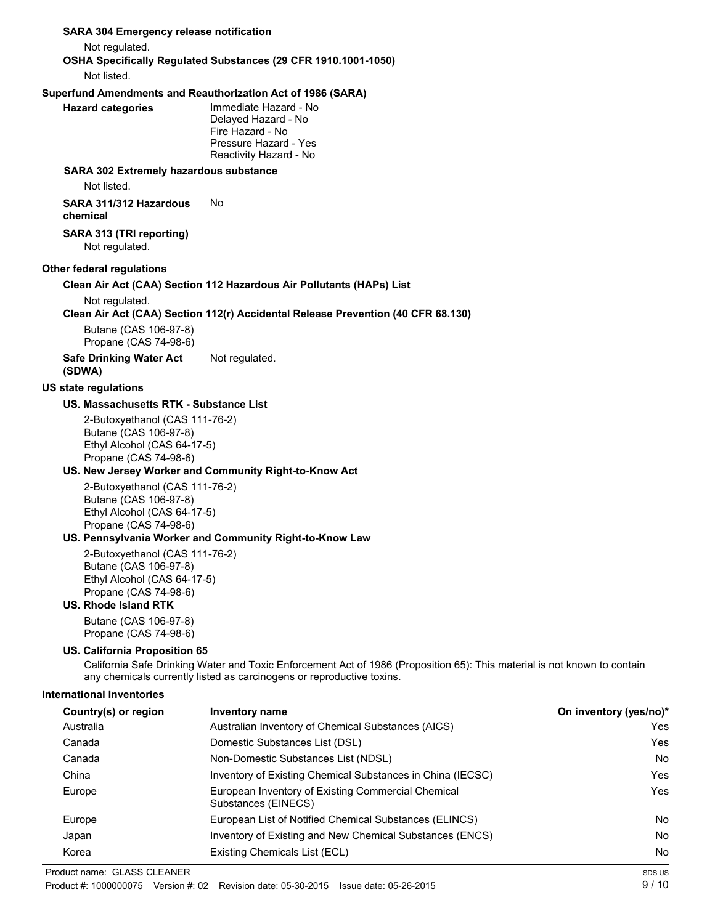#### Not regulated. **OSHA Specifically Regulated Substances (29 CFR 1910.1001-1050)** Not listed. **Superfund Amendments and Reauthorization Act of 1986 (SARA) Hazard categories** Immediate Hazard - No Delayed Hazard - No Fire Hazard - No Pressure Hazard - Yes Reactivity Hazard - No **SARA 302 Extremely hazardous substance** Not listed. **SARA 311/312 Hazardous chemical** No **SARA 313 (TRI reporting)** Not regulated. **Other federal regulations Clean Air Act (CAA) Section 112 Hazardous Air Pollutants (HAPs) List** Not regulated. **Clean Air Act (CAA) Section 112(r) Accidental Release Prevention (40 CFR 68.130)** Butane (CAS 106-97-8) Propane (CAS 74-98-6) **Safe Drinking Water Act (SDWA)** Not regulated. **US state regulations US. Massachusetts RTK - Substance List** 2-Butoxyethanol (CAS 111-76-2) Butane (CAS 106-97-8) Ethyl Alcohol (CAS 64-17-5) Propane (CAS 74-98-6) **US. New Jersey Worker and Community Right-to-Know Act** 2-Butoxyethanol (CAS 111-76-2) Butane (CAS 106-97-8) Ethyl Alcohol (CAS 64-17-5) Propane (CAS 74-98-6) **US. Pennsylvania Worker and Community Right-to-Know Law** 2-Butoxyethanol (CAS 111-76-2) Butane (CAS 106-97-8) Ethyl Alcohol (CAS 64-17-5) Propane (CAS 74-98-6) **US. Rhode Island RTK** Butane (CAS 106-97-8) Propane (CAS 74-98-6) **US. California Proposition 65** California Safe Drinking Water and Toxic Enforcement Act of 1986 (Proposition 65): This material is not known to contain any chemicals currently listed as carcinogens or reproductive toxins. **International Inventories Country(s) or region Inventory name On inventory (yes/no)\*** Australia Australian Inventory of Chemical Substances (AICS) Yes Canada Domestic Substances List (DSL) Yes Canada Non-Domestic Substances List (NDSL) No China **Inventory of Existing Chemical Substances in China (IECSC)** Yes Europe **European Inventory of Existing Commercial Chemical Chemical Chemical Chemical Chemical Chemical Chemical Chemical Chemical Chemical Chemical Chemical Chemical Chemical Chemical Chemical Chemical Chemical Chemical C** Substances (EINECS) Europe **European List of Notified Chemical Substances (ELINCS)** No Notice Note 2014 Japan **Inventory of Existing and New Chemical Substances (ENCS)** No No Korea **Existing Chemicals List (ECL)** No and the existing Chemicals List (ECL) No and the existing Chemicals List (ECL) 9 / 10 Product name: GLASS CLEANER Product #: 1000000075 Version #: 02 Revision date: 05-30-2015 Issue date: 05-26-2015 SDS US

**SARA 304 Emergency release notification**